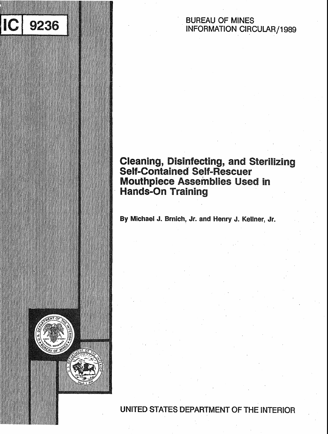# **BUREAU OF MINES INFORMATION CIRCULAR/1989**

# **Cleaning, Disinfecting, and Sterilizing<br>Self-Contained Self-Rescuer Mouthpiece Assemblies Used in Hands-On Training**

By Michael J. Brnich, Jr. and Henry J. Kellner, Jr.

9236

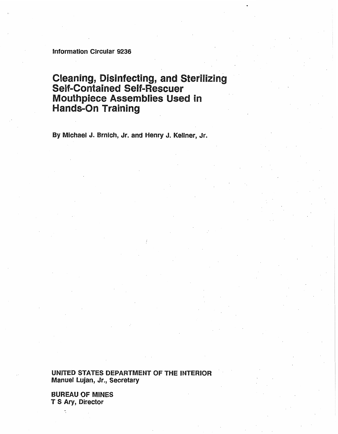Information Circular 9236

# **Cleaning, Disinfecting, and Sterilizing<br>Self-Contained Self-Rescuer Mouthpiece Assemblies Used in Hands-On Training**

**By Michael J. Bmich, Jr. and Henry J. Kellner, Jr.** 

**UNITED STATES DEPARTMENT OF THE INTERIOR Manuel Lujan, Jr., Secretary** 

**BUREAU OF MINES T S Ary, Director**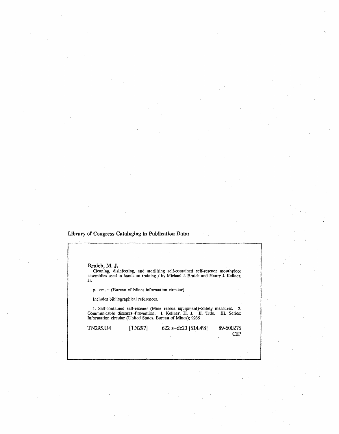### Library of Congress Cataloging in Publication Data:

| Brnich, M. J. |                                                        |                                                                                                                                                                                                                          |           |
|---------------|--------------------------------------------------------|--------------------------------------------------------------------------------------------------------------------------------------------------------------------------------------------------------------------------|-----------|
| Jr.           |                                                        | Cleaning, disinfecting, and sterilizing self-contained self-rescuer mouthpiece<br>assemblies used in hands-on training / by Michael J. Brnich and Henry J. Kellner,                                                      |           |
|               | $p.$ cm. $\sim$ (Bureau of Mines information circular) |                                                                                                                                                                                                                          |           |
|               | Includes bibliographical references.                   |                                                                                                                                                                                                                          |           |
|               |                                                        | 1. Self-contained self-rescuer (Mine rescue equipment)-Safety measures. 2.<br>Communicable diseases-Prevention. I. Kellner, H. J. II. Title. III. Series:<br>Information circular (United States. Bureau of Mines); 9236 |           |
|               |                                                        |                                                                                                                                                                                                                          |           |
| TN295.U4      | [TN297]                                                | 622 s-dc20 [614.4'8]                                                                                                                                                                                                     | 89-600276 |

89-600276  ${\bf CIP}$ 

 $\ddot{\phantom{a}}$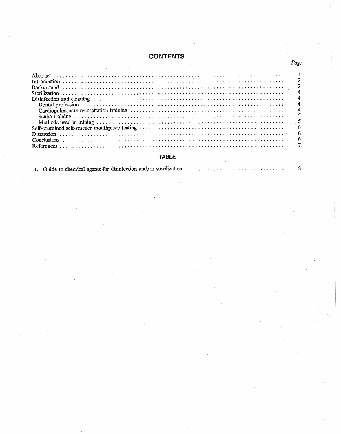# **CONTENTS**

## **TABLE**

1. Guide to chemical agents for disinfection and/or sterilization ....

 $\mathbf 3$ 

Page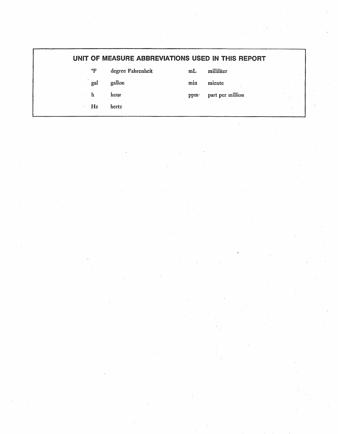|     | UNIT OF MEASURE ABBREVIATIONS USED IN THIS REPORT |      |                  |
|-----|---------------------------------------------------|------|------------------|
| °F  | degree Fahrenheit                                 | mL   | milliliter       |
| gal | gallon                                            | min  | minute           |
| h   | hour                                              | ppm. | part per million |
| Hz  | hertz                                             |      |                  |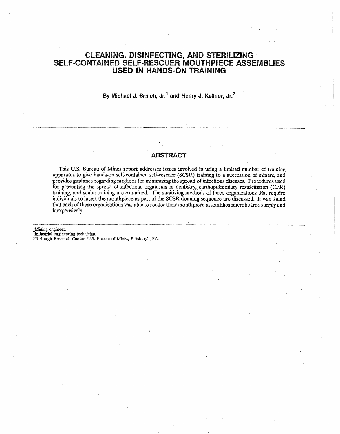# **CLEANING, DISINFECTING, AND STERILIZING SELF-CONTAINED SELF-RESCUER MOUTHPIECE ASSEMBLIES USED IN HANDS-ON TRAINING**

**By Michael J. Brnich, ~r.' and Henry J. Kellner, dr.\*** 

#### **ABSTRACT**

**This U.S.** Bureau of Mines report addresses issues involved in using **a** limited nurnbcr **of** training apparatus to give hands-on self-contained self-rescuer (SCSR) training to a succession of miners, and provides guidance regarding methods for minimizing the spread of infectious diseases. Procedures used for preventing the spread of infectious organisms in dentistry, cardiopulmonary resuscitation (CPR) training, and scuba **training** are **examined.** The sanitizing methods **of** three organizations that require individuals to insert the mouthpiece as **part of** the SCSR **donning** sequence are discussed. It **was** found that **each** of these **organizations was abIe** to render their mouthpiece assemblies microbe free simply and inexpensively.

<sup>1</sup>Mining engineer. <sup>2</sup>Industrial engineering technician. **P'ittsbugh Research Center, U.S. Bureau** of **Mines, Pittsburgh, PA.**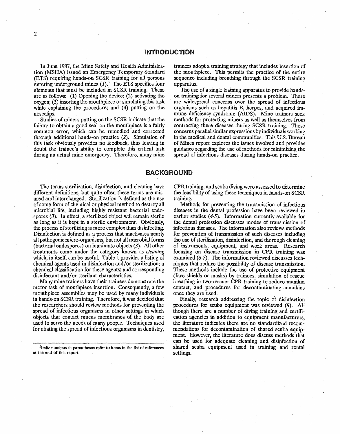En June 1987, the Mine Safety and Health Administration **(MSHA)** issued **an** Emergency Temporary Standard (ETS) requiring hands-on SCSR training for all persons entering underground mines  $(I)^3$ . The ETS specifies four elements that must be included in SCSR training. These are as follows: (1) Opening the device; **(2)** activating the oxygen; (3) inserting the mouthpiece or simulating this task ' while explaining **the** procedure; and **(4)** putting on the noseclips.

Studies of miners putting on the SCSR indicate that the failure to obtain a good seal on the mouthpiece is a fairly **common** error, which can be temedlied and corrected through additional hands-on practice (2). Simulation of **this** task obviously provides no feedback, thus leaving in doubt the trainee's ability to complete this critical task during an actual mine emergency. Therefore, many mine trd'mers adopt a **training** strategy that includes insertion of the mouthpiece. This permits the practice of the entire sequence including breathing through the SCSR training apparatus.

The use of a single training apparatus to provide handson training for several miners presents a problem. There are widespread concerns over the spread of infectious organisms such as hepatitis B, herpes, and acquired immune deficiency syndrome (AIDS). Mine trainers seek methods for protecting miners as well as themselves from contracting these diseases during SCSR training. These concerns parallel similar expressions by individuals working in the medical and dental communities. This U.S. Bureau of Mines report explores the issues involved and provides guidance regarding the use of methods for minimizing the spread of infectious diseases during hands-on practice.

#### **BACKGROUND**

The terms sterilization, disinfection, and cleaning have different definitions, but quite often these terms are misused and interchanged. Sterilization is defined as the use of some form of chemical or physical method to destroy all microbial life, including highly resistant bacterial endo**spores** *(3).* **In** effect, a sterilized object will remain sterile as long as it is kept in a sterile environment. Obviously, \* **the** process of sterilizing **is** more complex than disinfecting. Disinfection is defined as a process that inactivates nearly all pathogenic micro-organisms, but not all microbial forms (bacteriai **eadospores)** an inanimate objects *(3).* All other treatments come under the category known as *cleaning*  which, **in** itself, can be usefuI. Table **1** provides a listing of chemical agents used in disinfection and/or sterilization; a chemical classification for these agents; and corresponding disinfectant and/or sterilant characteristics.

Many mine trainers have their trainees demonstrate the motor task of mouthpiece insertion. Consequently, a few mouthpiece assemblies may be used by many individuals in hands-on SCSR training. Therefore, it was decided that tho researchers should **review** methods for preventing the spread **of infectious** organisms in other settings in which objects that cantact mucus membranes of the body are **used** to serve **the** needs of **many** people. Techniques used for abating the spread of infectious organisms in dentistry,

**3~talic numbers in parentheses refer** to **items in the list of ~eferences**  at the end of this report.

CPR training, and scuba diving were assessed to determine the feasibility of using these techniques in hands-on SCSR training.

Methods for preventing the transmission of infectious diseases in the dental profession have been reviewed in earlier studies (4-5). Information currently available for the dental profession discusses modes of transmission of infectious diseases. The information also reviews methods for **prevention** of transmission of such diseases including the use of sterilization, disinfection, and thorough cleaning of instruments, equipment, and **work** areas. Research focusing on disease transmission in **CPR** training was examined *(6-7).* The information reviewed discusses techniques that reduce the possibility of disease transmission. These methods include the use of protective equipment (face shields or masks) by trainees, simulation of rescue breathing in two-rescuer **CPR** training to reduce **manikin**  contact, and procedures for decontaminating manikins once they are used.

Finally, research addressing the topic of disinfection procedures for scuba equipment was reviewed (8). Although there are a number of diving training and certifi**cation** agencies in addition to equipment manufacturers, the literature indicates there are no standardized recommendations for decontamination of shared scuba equipment. However, the literature does discuss mcthods that **can** be used **for** adequate cleaning and disinfection of shared scuba equipment used in **training** and rental settings.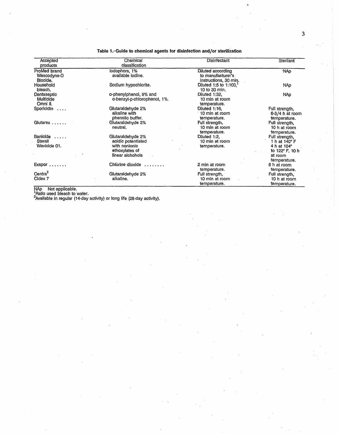$\mathbf{3}$ 

| Accepted                | Chemical                     | Disinfectant                               | <b>Sterilant</b>         |
|-------------------------|------------------------------|--------------------------------------------|--------------------------|
| products                | classification               |                                            |                          |
| ProMed brand            | lodophors, 1%                | Diluted according                          | NA <sub>D</sub>          |
| Wescodyne-D<br>Blocide. | available iodine.            | to manufacturer's<br>instructions, 30 min. |                          |
| Household<br>bleach.    | Sodium hypochlorite.         | Diluted 1:5 to 1:100,<br>10 to 30 min.     | NAp.                     |
| Dentaseptic             | o-phenylphenol, 9% and       | Diluted 1:32.                              | NAp.                     |
| Multicide<br>Omni II.   | o-benzyl-p-chlorophenol, 1%. | 10 min at room<br>temperature.             |                          |
| Sporicidin $\ldots$     | Glutaraldehyde 2%            | Diluted 1:16,                              | Full strength,           |
|                         | alkaline with                | 10 min at room                             | 6-3/4 h at room          |
|                         | phenolic buffer.             | temperature.                               | temperature.             |
| Glutarex                | Glutaraldehyde 2%            | Full strength,                             | Full strength,           |
|                         | neutral.                     | 10 min at room                             | 10 h at room             |
|                         |                              | temperature.                               | temperature.             |
| Banicide                | Glutaraldehyde 2%            | Diluted 1:2.                               | Full strength,           |
| Sterall                 | acidic potentiated           | 10 min at room                             | 1 h at 140°F             |
| Wavicide 01.            | with nonionic                | temperature.                               | 4 h at 104°              |
|                         | ethoxylates of               |                                            | to $122^{\circ}$ F, 10 h |
|                         | linear alchohols             |                                            | at room                  |
|                         |                              |                                            | temperature,             |
| Exspor                  | Chlorine dioxide             | 2 min at room                              | 6 h at room              |
|                         |                              | temperature.                               | temperature.             |
| Centra <sup>2</sup>     | Glutaraldehyde 2%            | Full strength,                             | Full strength,           |
| Cidex 7                 | alkaline.                    | 10 min at room                             | 10 h at room             |
|                         |                              | temperature.                               | temperature.             |

Table 1.-Guide to chemical agents for disinfection and/or sterilization

NAp Not applicable.<br>
Ratio used bleach to water.<br>
<sup>2</sup>Available in regular (14-day activity) or long life (28-day activity).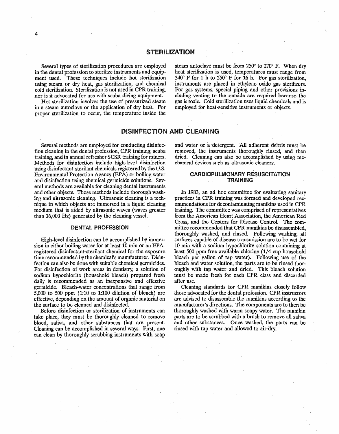#### **STERILIZATION**

Severat types of sterilization procedures are employed in the dental profession to sterilize instruments and equipment used. These techniques include hot sterilization using steam or dry heat, gas sterilization, and chemical cold sterilization. Sterilization is not used in CPR training, nor is it advocated **for use** with **scuba diving equipment.** 

Hot sterilization involves the use **of** pressurized steam in a steam autoclave or the application of dry heat. For proper sterilization to occur, the temperature inside the

steam autoclave must be from  $250^{\circ}$  to  $270^{\circ}$  F. When dry heat sterilization is used, temperatures must range from **340" P** for **1** h to 250' F for **I6** h. For gas stexilizatian, instruments are placed in ethylene oxide gas sterilizers. **For** gas systems, special piping and other provisions including venting **to the outside are** required because the gas is toxic. Cold sterilization uses liquid chemicals and is employed for heat-sensitive instruments or objects.

#### **DISINFECTION AND CLEANING**

Several methods are employed for conducting disinfection cleaning in the dental profession, CPR training, scuba training, **and** in annual refresher **SCSR** training for miners. Methods **far** disinfection include high-level disinfection using disinfectant-sterilant chemicals registered by the **U.S.**  Environmental Protection Agency **(EM)** or boiling water **and** disinfection using chemical germicide solutions. Several methods are available for cleaning dental instruments and other objects. **These** methods indude thorough washing and ultrasonic cleaning. Ultrasonic cleaning is a technique in which objects are immersed **in** a liquid cleaning medium that is aided by ultrasonic waves (waves greater than 16,000 Hz) generated by the cleaning vessel.

#### **DENTAL PROFESSION**

High-level disinfection can be accomplished by immersion in either boiling water for at least **10** min or an **EPA**registered disinfectant-sterilant chemical for the exposure **time** recommended by the chemical's manufacturer. Disinfection can also be done with suitable chemical germicides. For disinfection **of** work areas in dentistry, a solution of sodium hypochlorite (household bleach) prepared fresh daily is recommended as an inexpensive and effective germicide. Bleach-water concentrations that range from 5,000 to **500 ppm (1:10** to 1:100 dilution **of** bleach) are effective, depending on the amount of organic material on the surface to be cleaned and disinfected.

Before disinfection or sterilization of instruments can take place, they must be thoroughly cleaned to remove blood, saliva, and other substances that are present. Cleaning can be accomplished in several ways. First, one can clean by thoroughly scrubbing instruments with soap

and water or 'a detergent. All adherent debris must be removed, the instruments thoroughly rinsed, and then dried. Cleaning can also be accomplished by using mechanical devices such as ultrasonic cleaners.

#### **CARDIOPULMONARY RESUSCITATION TRAINING**

In 1983, an ad hoc committee for evaluating sanitary practices in **CPR** trainjmg was formed and **developed** recommendations for decontaminating manikins used in **CPR**  training. The committee was comprised of representatives from the American Heart Association, the American Red Crass, and the Centers for Disease Control. The *com*mittee recommended that **CPR** manikins be disassembled,' thoroughly washed, and rinsed. Following washing, all surfaces capable of disease transmission are to be wet for **10** min with a sodium hypochlorite solution containing at least 500 ppm free available chlorine **(1/4** cup household bleach per gallon of tap water). FoIlowing use of the bleach and water solution, the parts are to **ba** rinsed thoroughly with tap water and dried. This bleach solution must be made fresh for each **ClPR** class and discarded after use.

Cleaning standards for **CPR** manikins closely follow those advocated for the dental profession. **CPR** instructors are advised to disassemble the manikins according to the manufacturer's directions. The components are to then be thoroughly washed with warm soapy water. The manikin parts are to be scrubbed with a brush to remove all saliva and other substances. Once washed, the parts **can** be rinsed with tap water and allowed to air-dry,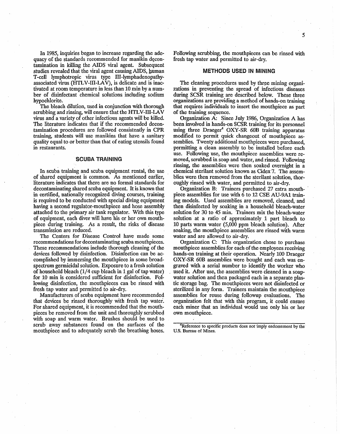In 1985, inquiries began to increase regarding the adequacy **of fbe** standards recommended for manikin &contamination in killing the AIDS viral agent. Subsequent studies revcaled that the vird agent **causing AIDS, human**  T-cell lymphotropic virus type III-lymphadenopathyassociated virus (HTLV-III-LAV), is delicate and is inac**tivated** at **room** temperature **in** less than 10 **min** by a **num**ber **of** disinfectant chemical solutions including sodium hypochlorite.

**The** bleach dilution, used in conjunction with thorough scrubbing and rinsing, will **ensure** that the **HTLV-111-LAV**  virus and a **variety** of other infectious agents **will** be killed, The literature indicates that if the recommended decontamination procedures are followed consistently in CPR training, students will use manikins that have a sanitary quality equal to or better than that **of** eating utensils found in restaurants.

#### **SCUBA TRAINING**

In scuba training and scuba equipment rental, the use of shared equipment is common. As mentioned earlier, literature indicates that there are no formal standards for decontaminating shared scuba equipment. It is known that in certified, nationally recognized diving courses, training **is** required to be conducted with special diving equipment **having** a **second** regulator-mouthpiece and hose assembly attached to the primary air tank regulator. With this type of **equipment,** each **diver win** have his or her own mouthpiece during training. **As** a result, the risks of disease transmission are reduced.

The Centers for Disease Controt have made some recommendations for decontaminating scuba mouthpieces. These recommendations include thorough cleaning of the devices followed by disinfection. Disinfection can be accomplished by immersing the mouthpiece in some broadspectrum germicidal solution. Exposure to a fresh solution **d** household bleach **(1/4** cup bleach in **1** gal of tap water) for 10 min is considered sufficient for disinfection. Following disinfection, the mouthpieces can be rinsed with **fresh** tap water and permitted to air-dry.

Manufacturers **of** scuba equipment have recommended fhat devices be rinsed thoroughly with fresh tap water. For shared equipment, it is recommended that the mouthpieces be removed from the unit and thoroughly scrubbed with soap and warm water. Brushes should be used to scrub away substances found on the surfaces of the mouthpiece and to adequately scrub the breathing hoses.

Following scrubbing, the mouthpieces can be rinsed with fresh tap water and permitted to air-dry.

#### **METHODS USED IN MINING**

The cleaning procedures used by three **mining** organizations in preventing the spread of infectious diseases **during SCSW** training are described **below.** These thee organizations are providing a method **of** hands-on **training**  that requires individuals to insert the mouthpiece as part of the training sequence.

Organization A: Since July 1986, Organization A has been involved in hands-on SCSR training for its personnel using three Draeger<sup>4</sup> OXY-SR 60B training apparatus modified to permit quick changeout of mouthpiece assemblies. **Twenty** additional mouthpieces were purchased, permitting a clean assembly to be installed before each use. Following use, the mouthpiece assemblies were removed, scrubbed in soap and water, and rinsed. Following rinsing, the assemblies were then soaked overnight **in** a chemical sterifant solution **known** as **Cidex** 7. The assernblies were then removed from the sterilant solution, thor**oughly** rinsed with water, and permitted to air-dry.

Organization **B:** Trainers purchased 27 extra mouth- ' piece assemblies for use with 6 to 12 **CSE AIJ-9Al** train**ing** models. Used assemblies are removed, cleaned, and then disinfected by soaking in a household bleach-water solution for 30 to 45 min. Trainers mix the bleach-water solution at a ratio **of** approximately 1 part bleach to 10 parts warm water (5,000 pprn bleach solution). After soaking, the mouthpiece assemblies are rinsed with warm water and are allowed to air-dry.

Organization C: This organization chose to purchase mouthpiece assemblies for each of the employees receiving bands-on training at their operation. Nearly **100** Draeger *OXY-SR* 60B assemblies were bought and each was engraved with a serial number to identify the worker who used it. After use, the assemblies were cleaned in a soapwater solution and then packaged each in a separate plastic storage bag. The mouthpieces were not disinfected or sterilized in any form. Trainers maintain the mouthpiece assemblies for reuse during followup evaluations. **The**  organization felt that with this program, it could ensure each miner that **an** individual would use only his or her own mouthpiece.

 $^{4}$ Reference to specific products does not imply endorsement by the **U.S. Bureau of Mines.**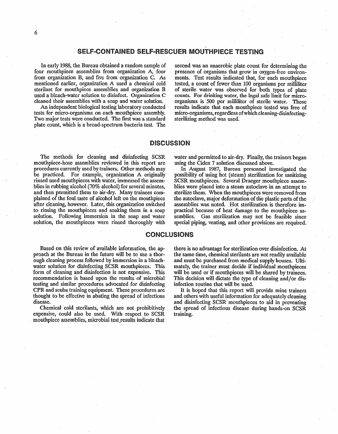#### SELF-CONTAINED SELF-RESCUER MOUTHPIECE TESTING

**In** early 1988, the, Bureau obtained a **random** sample **of**  four mouthpiece assemblies from organization A, four from organization **33,** and five from organization *C.* As mentioned earlier, organization A used a chemical cold sterilant for mouthpiece assemblies and organization B used a **bleach-water** solution **to disinfect;.** Organization *C*  **cleaned** their assemblies with a soap and water solution.

An independent biological testing laboratory conducted tests for micro-organisms on each mouthpiece assembly. Two major tests were conducted. The first was a standard **plate** count, which is a broad-spectrum bacteria test. The

second **was** an anaerobic plate count for determining the presence of organisms that grow in oxygen-free environments. Test results indicated that, for each mouthpiece tested, a count of fewer than 100 organisms per milliliter of sterile water was observed for both types of plate **counts. For drinking** water, the legal safe limit for microorganisms is 500 per milliliter of sterile water, These results indicate that each mouthpiece tested was free of micro-organisms, regardless of which cleaning-disinfectingsterilizing method was used.

#### **DISCUSSION**

The methods **for** cleaning and disinfecting **SCSR**  mouthpiece-hose assemblies reviewed in this report are procedures currently used by trainers. Other methods may be practiced. For example, organization A originally rinsed used mouthpieces with water, immersed the assemblies in rubbing alcohol (70% alcohol) for several minutes, and then permitted them to air-dry. Many trainees com**pfaincd** of the **foul.** taste of alcohol left on the mouthpiece after deadng, however. Later, this organization switched to rinsing the mouthpieces and soaking them in a soap solution. Following immersion in the soap and water solution, the mouthpieces were rinsed thoroughly with water **and** permitted to air-dry. Finally, the trainers began using the Cidex 7 solution discussed above.

In August 1987, Bureau personnel investigated **the**  possibility of using hot (steam) steritization for sanitizing **SCSR** mouthpieces. Several Draeger mouthpiece assemblies were placed into a steam autoclave in an attempt to sterilize them. When the mouthpieces were removed from the autoclave, major deformation **of** tlie plastic parts of **the** \* assemblies was noted. Hot sterilization is therefore **im**practical because of heat damage to the mouthpiece assemblies. Gas sterilization may not be feasible since special piping, venting, and other provisions are required.

#### **CONCLUSIONS**

**Based on** this **review** of available information, the approach at the Bureau in the future wiH be **to** use a thorough cleaning process followed by immersion in a bleachwater solution for disinfecting SCSR mouthpieces. This form of cleaning and disinfection is not expensive. This recomrncndation is based upon the results **of** microbial testing and similar procedures advocated for disinfecting **CPR** and scnba training equipment. These procedures are thought ta be effective in abating the spread of infectious disease.

Chemical **cold** stexilants, which are not prohibitively expensive, could **also** be used. With respect to **SCSR**  mouthpiece assemblies, microbial test results indicate that there is no advantage for sterilization **over** disinfection. **At**  the same time, chemical sterilants are not readily available **and** must be purchased from medical supply houses. Ultimately, the trainer must decide if individual mouthpieces will be used or if mouthpieces will be shared by trainees. **This** decision will dictate the type of cleaning and/or disinfection routine that will **be** used.

It is hoped that this report will provide mine trainers and others with useful information for adequately cleaning and disinfecting **SCSR** mouthpieces to aid in preventing the spread of infectious disease during hands-on **SCSR**  training.